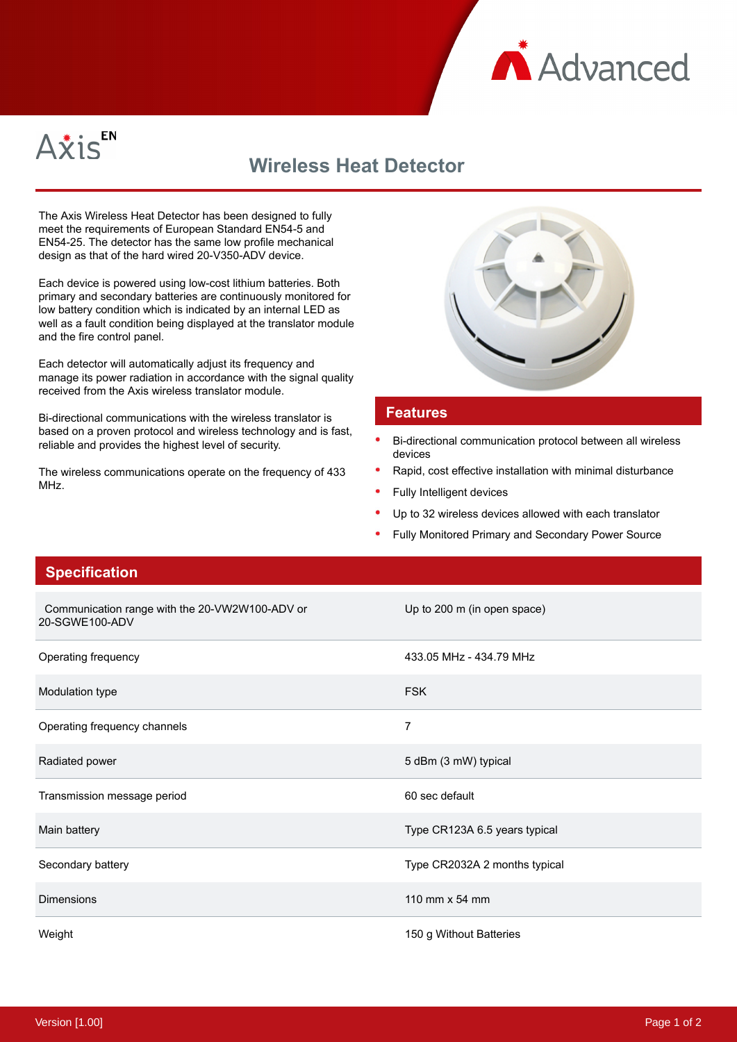



## **Wireless Heat Detector**

The Axis Wireless Heat Detector has been designed to fully meet the requirements of European Standard EN54-5 and EN54-25. The detector has the same low profile mechanical design as that of the hard wired 20-V350-ADV device.

Each device is powered using low-cost lithium batteries. Both primary and secondary batteries are continuously monitored for low battery condition which is indicated by an internal LED as well as a fault condition being displayed at the translator module and the fire control panel.

Each detector will automatically adjust its frequency and manage its power radiation in accordance with the signal quality received from the Axis wireless translator module.

Bi-directional communications with the wireless translator is based on a proven protocol and wireless technology and is fast, reliable and provides the highest level of security.

The wireless communications operate on the frequency of 433 MHz.



## **Features**

- Bi-directional communication protocol between all wireless devices
- Rapid, cost effective installation with minimal disturbance
- Fully Intelligent devices
- Up to 32 wireless devices allowed with each translator
- Fully Monitored Primary and Secondary Power Source

## **Specification**

| Communication range with the 20-VW2W100-ADV or<br>20-SGWE100-ADV | Up to 200 m (in open space)   |
|------------------------------------------------------------------|-------------------------------|
| Operating frequency                                              | 433.05 MHz - 434.79 MHz       |
| Modulation type                                                  | <b>FSK</b>                    |
| Operating frequency channels                                     | 7                             |
| Radiated power                                                   | 5 dBm (3 mW) typical          |
| Transmission message period                                      | 60 sec default                |
| Main battery                                                     | Type CR123A 6.5 years typical |
| Secondary battery                                                | Type CR2032A 2 months typical |
| <b>Dimensions</b>                                                | 110 mm $\times$ 54 mm         |
| Weight                                                           | 150 g Without Batteries       |